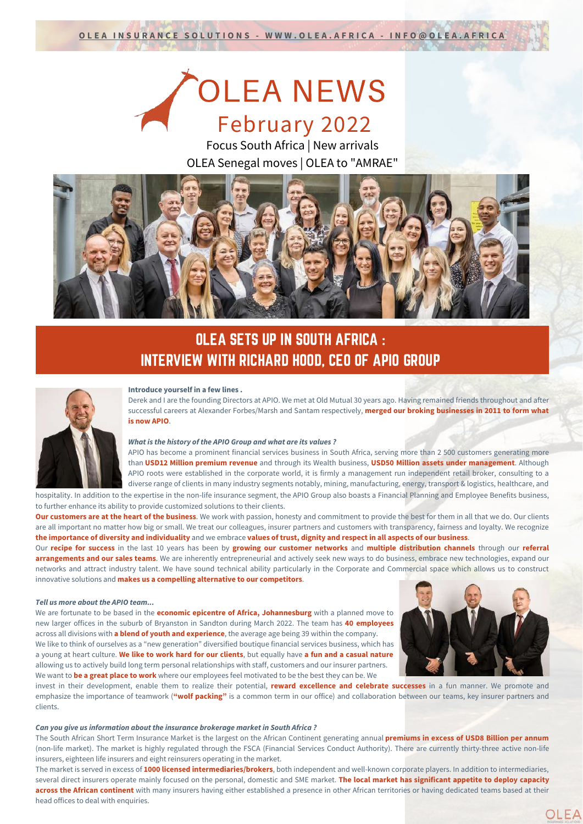# OLEA NEWS February 2022

Focus South Africa | New arrivals OLEA Senegal moves | OLEA to "AMRAE"



### OLEA SETS UP IN SOUTH AFRICA : INTERVIEW WITH RICHARD HOOD, CEO OF APIO GROUP



#### **Introduce yourself in a few lines .**

Derek and I are the founding Directors at APIO. We met at Old Mutual 30 years ago. Having remained friends throughout and after successful careers at Alexander Forbes/Marsh and Santam respectively, **merged our broking businesses in 2011 to form what is now APIO**.

#### *What is the history of the APIO Group and what are its values ?*

APIO has become a prominent financial services business in South Africa, serving more than 2 500 customers generating more than **USD12 Million premium revenue** and through its Wealth business, **USD50 Million assets under management**. Although APIO roots were established in the corporate world, it is firmly a management run independent retail broker, consulting to a diverse range of clients in many industry segments notably, mining, manufacturing, energy, transport & logistics, healthcare, and hospitality. In addition to the expertise in the non-life insurance segment, the APIO Group also boasts a Financial Planning and Employee Benefits business,

to further enhance its ability to provide customized solutions to their clients. **Our customers are at the heart of the business**. We work with passion, honesty and commitment to provide the best for them in all that we do. Our clients are all important no matter how big or small. We treat our colleagues, insurer partners and customers with transparency, fairness and loyalty. We recognize

the importance of diversity and individuality and we embrace values of trust, dignity and respect in all aspects of our business. Our **recipe for success** in the last 10 years has been by **growing our customer networks** and **multiple distribution channels** through our **referral arrangements and our sales teams**. We are inherently entrepreneurial and actively seek new ways to do business, embrace new technologies, expand our networks and attract industry talent. We have sound technical ability particularly in the Corporate and Commercial space which allows us to construct innovative solutions and **makes us a compelling alternative to our competitors**.

#### *Tell us more about the APIO team...*

We are fortunate to be based in the **economic epicentre of Africa, Johannesburg** with a planned move to new larger offices in the suburb of Bryanston in Sandton during March 2022. The team has **40 employees** across all divisions with **a blend of youth and experience**, the average age being 39 within the company. We like to think of ourselves as a "new generation" diversified boutique financial services business, which has a young at heart culture. **We like to work hard for our clients**, but equally have **a fun and a casual nature** allowing us to actively build long term personal relationships with staff, customers and our insurer partners. We want to **be a great place to work** where our employees feel motivated to be the best they can be. We



OLEA

invest in their development, enable them to realize their potential, **reward excellence and celebrate successes** in a fun manner. We promote and emphasize the importance of teamwork (**"wolf packing"** is a common term in our office) and collaboration between our teams, key insurer partners and clients.

#### *Can you give us information about the insurance brokerage market in South Africa ?*

The South African Short Term Insurance Market is the largest on the African Continent generating annual **premiums in excess of USD8 Billion per annum** (non-life market). The market is highly regulated through the FSCA (Financial Services Conduct Authority). There are currently thirty-three active non-life insurers, eighteen life insurers and eight reinsurers operating in the market.

The market is served in excess of **1000 licensed intermediaries/brokers**, both independent and well-known corporate players. In addition to intermediaries, several direct insurers operate mainly focused on the personal, domestic and SME market. **The local market has significant appetite to deploy capacity across the African continent** with many insurers having either established a presence in other African territories or having dedicated teams based at their head offices to deal with enquiries.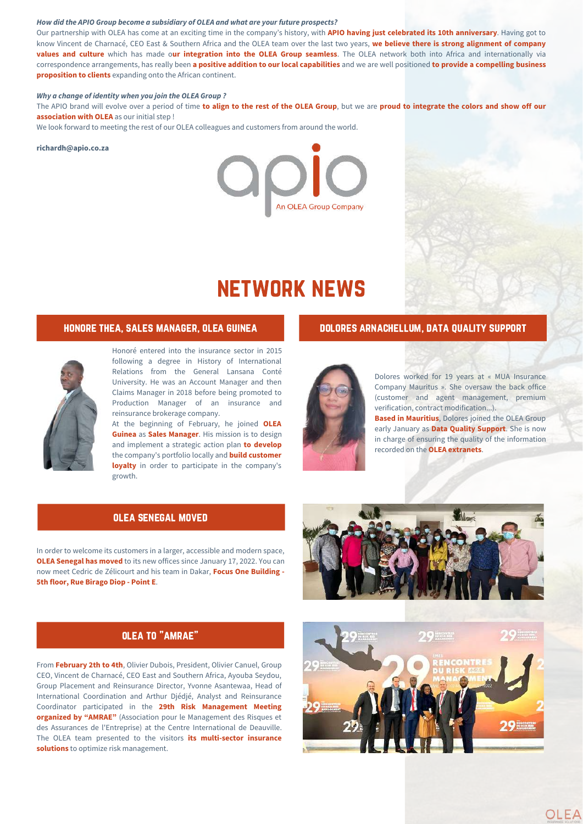#### *How did the APIO Group become a subsidiary of OLEA and what are your future prospects?*

Our partnership with OLEA has come at an exciting time in the company's history, with **APIO having just celebrated its 10th anniversary**. Having got to know Vincent de Charnacé, CEO East & Southern Africa and the OLEA team over the last two years, **we believe there is strong alignment of company values and culture** which has made o**ur integration into the OLEA Group seamless**. The OLEA network both into Africa and internationally via correspondence arrangements, has really been a positive addition to our local capabilities and we are well positioned to provide a compelling business **proposition to clients** expanding onto the African continent.

#### *Why a change of identity when you join the OLEA Group ?*

The APIO brand will evolve over a period of time to align to the rest of the OLEA Group, but we are proud to integrate the colors and show off our **association with OLEA** as our initial step !

We look forward to meeting the rest of our OLEA colleagues and customers from around the world.

#### **richardh@apio.co.za**



## network news

### honore thea, sales manager, olea guinea dolores arnachellum, data quality support



Honoré entered into the insurance sector in 2015 following a degree in History of International Relations from the General Lansana Conté University. He was an Account Manager and then Claims Manager in 2018 before being promoted to Production Manager of an insurance and reinsurance brokerage company.

At the beginning of February, he joined **OLEA Guinea** as **Sales Manager**. His mission is to design and implement a strategic action plan **to develop** the company's portfolio locally and **build customer loyalty** in order to participate in the company's growth.

#### olea senegal moved

In order to welcome its customers in a larger, accessible and modern space, **OLEA Senegal has moved** to its new offices since January 17, 2022. You can now meet Cedric de Zélicourt and his team in Dakar, **Focus One Building - 5th floor, Rue Birago Diop - Point E**.



From **February 2th to 4th**, Olivier Dubois, President, Olivier Canuel, Group CEO, Vincent de Charnacé, CEO East and Southern Africa, Ayouba Seydou, Group Placement and Reinsurance Director, Yvonne Asantewaa, Head of International Coordination and Arthur Djédjé, Analyst and Reinsurance Coordinator participated in the **29th Risk Management Meeting organized by "AMRAE"** (Association pour le Management des Risques et des Assurances de l'Entreprise) at the Centre International de Deauville. The OLEA team presented to the visitors **its multi-sector insurance solutions** to optimize risk management.



Dolores worked for 19 years at « MUA Insurance Company Mauritus ». She oversaw the back office (customer and agent management, premium

verification, contract modification...). **Based in Mauritius**, Dolores joined the OLEA Group early January as **Data Quality Support**. She is now in charge of ensuring the quality of the information recorded on the **OLEA extranets**.